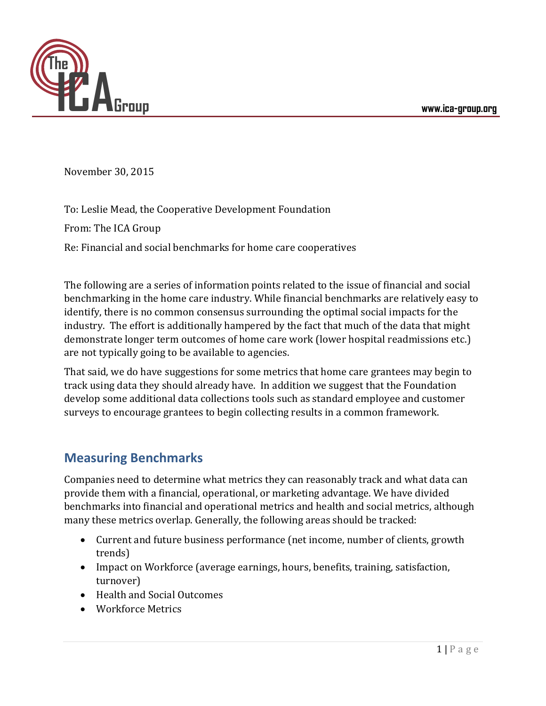

November 30, 2015

To: Leslie Mead, the Cooperative Development Foundation

From: The ICA Group

Re: Financial and social benchmarks for home care cooperatives

The following are a series of information points related to the issue of financial and social benchmarking in the home care industry. While financial benchmarks are relatively easy to identify, there is no common consensus surrounding the optimal social impacts for the industry. The effort is additionally hampered by the fact that much of the data that might demonstrate longer term outcomes of home care work (lower hospital readmissions etc.) are not typically going to be available to agencies.

That said, we do have suggestions for some metrics that home care grantees may begin to track using data they should already have. In addition we suggest that the Foundation develop some additional data collections tools such as standard employee and customer surveys to encourage grantees to begin collecting results in a common framework.

## **Measuring Benchmarks**

Companies need to determine what metrics they can reasonably track and what data can provide them with a financial, operational, or marketing advantage. We have divided benchmarks into financial and operational metrics and health and social metrics, although many these metrics overlap. Generally, the following areas should be tracked:

- Current and future business performance (net income, number of clients, growth trends)
- Impact on Workforce (average earnings, hours, benefits, training, satisfaction, turnover)
- Health and Social Outcomes
- Workforce Metrics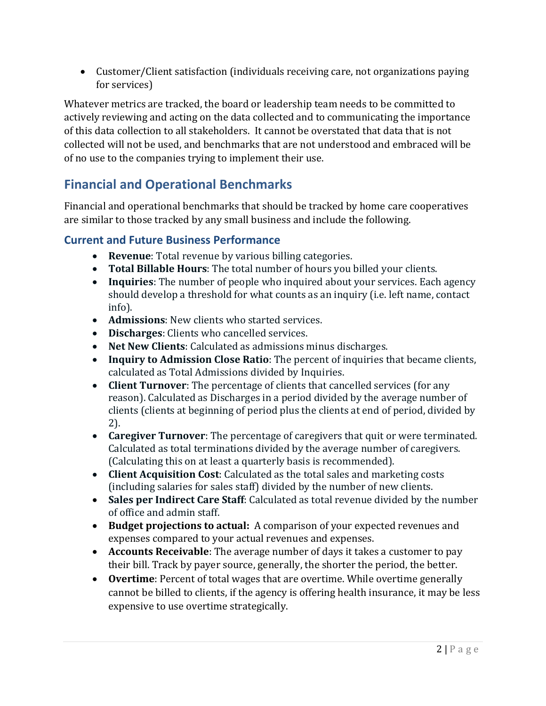Customer/Client satisfaction (individuals receiving care, not organizations paying for services)

Whatever metrics are tracked, the board or leadership team needs to be committed to actively reviewing and acting on the data collected and to communicating the importance of this data collection to all stakeholders. It cannot be overstated that data that is not collected will not be used, and benchmarks that are not understood and embraced will be of no use to the companies trying to implement their use.

# **Financial and Operational Benchmarks**

Financial and operational benchmarks that should be tracked by home care cooperatives are similar to those tracked by any small business and include the following.

### **Current and Future Business Performance**

- **Revenue**: Total revenue by various billing categories.
- **Total Billable Hours**: The total number of hours you billed your clients.
- **Inquiries**: The number of people who inquired about your services. Each agency should develop a threshold for what counts as an inquiry (i.e. left name, contact info).
- **Admissions**: New clients who started services.
- **Discharges**: Clients who cancelled services.
- **Net New Clients**: Calculated as admissions minus discharges.
- **Inquiry to Admission Close Ratio**: The percent of inquiries that became clients, calculated as Total Admissions divided by Inquiries.
- **Client Turnover**: The percentage of clients that cancelled services (for any reason). Calculated as Discharges in a period divided by the average number of clients (clients at beginning of period plus the clients at end of period, divided by 2).
- **Caregiver Turnover**: The percentage of caregivers that quit or were terminated. Calculated as total terminations divided by the average number of caregivers. (Calculating this on at least a quarterly basis is recommended).
- **Client Acquisition Cost**: Calculated as the total sales and marketing costs (including salaries for sales staff) divided by the number of new clients.
- **Sales per Indirect Care Staff**: Calculated as total revenue divided by the number of office and admin staff.
- **Budget projections to actual:** A comparison of your expected revenues and expenses compared to your actual revenues and expenses.
- **Accounts Receivable**: The average number of days it takes a customer to pay their bill. Track by payer source, generally, the shorter the period, the better.
- **Overtime**: Percent of total wages that are overtime. While overtime generally cannot be billed to clients, if the agency is offering health insurance, it may be less expensive to use overtime strategically.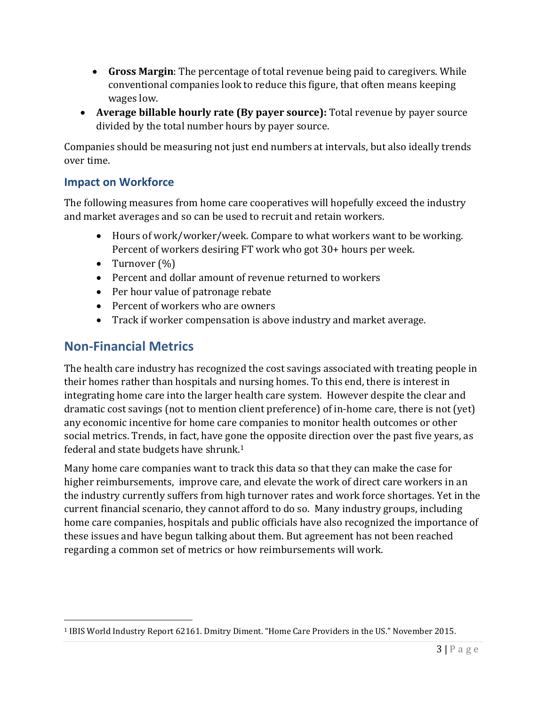- **Gross Margin**: The percentage of total revenue being paid to caregivers. While conventional companies look to reduce this figure, that often means keeping wages low.
- **Average billable hourly rate (By payer source):** Total revenue by payer source divided by the total number hours by payer source.

Companies should be measuring not just end numbers at intervals, but also ideally trends over time.

### **Impact on Workforce**

The following measures from home care cooperatives will hopefully exceed the industry and market averages and so can be used to recruit and retain workers.

- Hours of work/worker/week. Compare to what workers want to be working. Percent of workers desiring FT work who got 30+ hours per week.
- Turnover  $(\%)$
- Percent and dollar amount of revenue returned to workers
- Per hour value of patronage rebate
- Percent of workers who are owners
- Track if worker compensation is above industry and market average.

## **Non-Financial Metrics**

 $\overline{a}$ 

The health care industry has recognized the cost savings associated with treating people in their homes rather than hospitals and nursing homes. To this end, there is interest in integrating home care into the larger health care system. However despite the clear and dramatic cost savings (not to mention client preference) of in-home care, there is not (yet) any economic incentive for home care companies to monitor health outcomes or other social metrics. Trends, in fact, have gone the opposite direction over the past five years, as federal and state budgets have shrunk.<sup>1</sup>

Many home care companies want to track this data so that they can make the case for higher reimbursements, improve care, and elevate the work of direct care workers in an the industry currently suffers from high turnover rates and work force shortages. Yet in the current financial scenario, they cannot afford to do so. Many industry groups, including home care companies, hospitals and public officials have also recognized the importance of these issues and have begun talking about them. But agreement has not been reached regarding a common set of metrics or how reimbursements will work.

<sup>1</sup> IBIS World Industry Report 62161. Dmitry Diment. "Home Care Providers in the US." November 2015.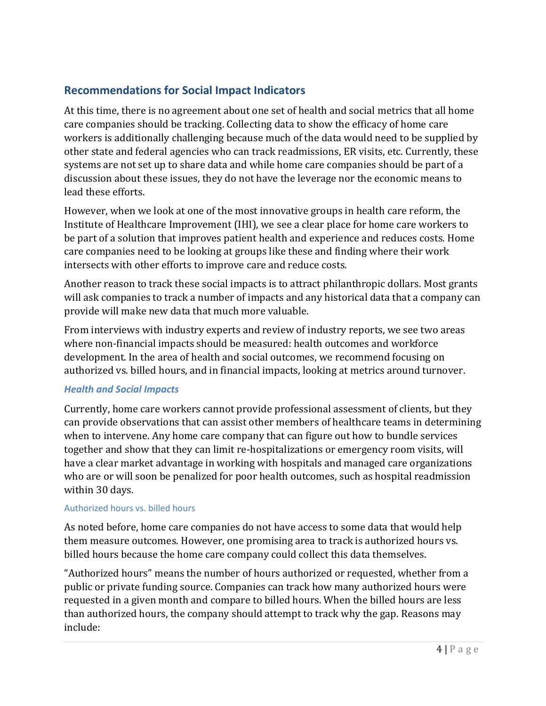### **Recommendations for Social Impact Indicators**

At this time, there is no agreement about one set of health and social metrics that all home care companies should be tracking. Collecting data to show the efficacy of home care workers is additionally challenging because much of the data would need to be supplied by other state and federal agencies who can track readmissions, ER visits, etc. Currently, these systems are not set up to share data and while home care companies should be part of a discussion about these issues, they do not have the leverage nor the economic means to lead these efforts.

However, when we look at one of the most innovative groups in health care reform, the Institute of Healthcare Improvement (IHI), we see a clear place for home care workers to be part of a solution that improves patient health and experience and reduces costs. Home care companies need to be looking at groups like these and finding where their work intersects with other efforts to improve care and reduce costs.

Another reason to track these social impacts is to attract philanthropic dollars. Most grants will ask companies to track a number of impacts and any historical data that a company can provide will make new data that much more valuable.

From interviews with industry experts and review of industry reports, we see two areas where non-financial impacts should be measured: health outcomes and workforce development. In the area of health and social outcomes, we recommend focusing on authorized vs. billed hours, and in financial impacts, looking at metrics around turnover.

### *Health and Social Impacts*

Currently, home care workers cannot provide professional assessment of clients, but they can provide observations that can assist other members of healthcare teams in determining when to intervene. Any home care company that can figure out how to bundle services together and show that they can limit re-hospitalizations or emergency room visits, will have a clear market advantage in working with hospitals and managed care organizations who are or will soon be penalized for poor health outcomes, such as hospital readmission within 30 days.

### Authorized hours vs. billed hours

As noted before, home care companies do not have access to some data that would help them measure outcomes. However, one promising area to track is authorized hours vs. billed hours because the home care company could collect this data themselves.

"Authorized hours" means the number of hours authorized or requested, whether from a public or private funding source. Companies can track how many authorized hours were requested in a given month and compare to billed hours. When the billed hours are less than authorized hours, the company should attempt to track why the gap. Reasons may include: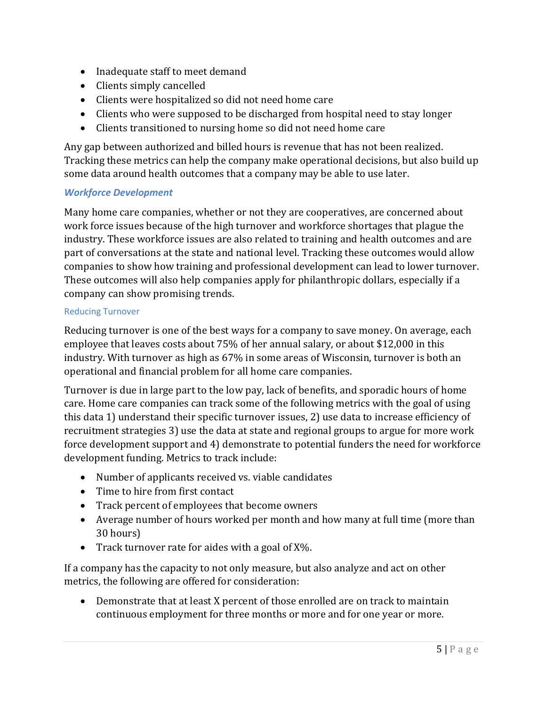- Inadequate staff to meet demand
- Clients simply cancelled
- Clients were hospitalized so did not need home care
- Clients who were supposed to be discharged from hospital need to stay longer
- Clients transitioned to nursing home so did not need home care

Any gap between authorized and billed hours is revenue that has not been realized. Tracking these metrics can help the company make operational decisions, but also build up some data around health outcomes that a company may be able to use later.

### *Workforce Development*

Many home care companies, whether or not they are cooperatives, are concerned about work force issues because of the high turnover and workforce shortages that plague the industry. These workforce issues are also related to training and health outcomes and are part of conversations at the state and national level. Tracking these outcomes would allow companies to show how training and professional development can lead to lower turnover. These outcomes will also help companies apply for philanthropic dollars, especially if a company can show promising trends.

#### Reducing Turnover

Reducing turnover is one of the best ways for a company to save money. On average, each employee that leaves costs about 75% of her annual salary, or about \$12,000 in this industry. With turnover as high as 67% in some areas of Wisconsin, turnover is both an operational and financial problem for all home care companies.

Turnover is due in large part to the low pay, lack of benefits, and sporadic hours of home care. Home care companies can track some of the following metrics with the goal of using this data 1) understand their specific turnover issues, 2) use data to increase efficiency of recruitment strategies 3) use the data at state and regional groups to argue for more work force development support and 4) demonstrate to potential funders the need for workforce development funding. Metrics to track include:

- Number of applicants received vs. viable candidates
- Time to hire from first contact
- Track percent of employees that become owners
- Average number of hours worked per month and how many at full time (more than 30 hours)
- Track turnover rate for aides with a goal of X%.

If a company has the capacity to not only measure, but also analyze and act on other metrics, the following are offered for consideration:

 Demonstrate that at least X percent of those enrolled are on track to maintain continuous employment for three months or more and for one year or more.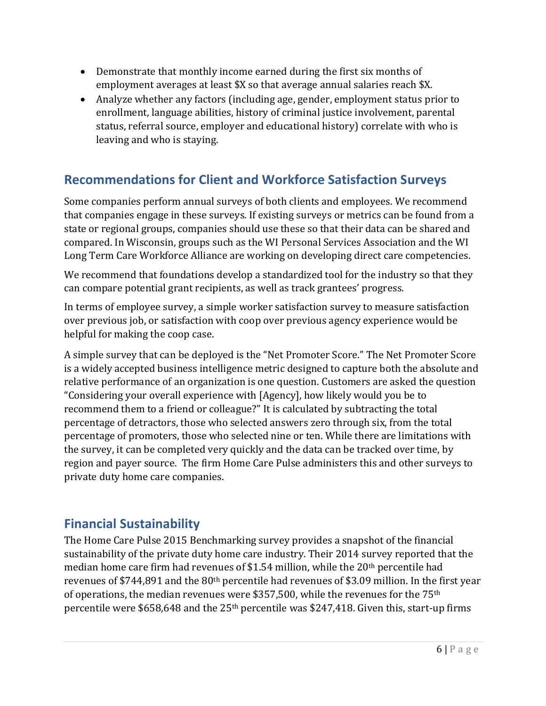- Demonstrate that monthly income earned during the first six months of employment averages at least \$X so that average annual salaries reach \$X.
- Analyze whether any factors (including age, gender, employment status prior to enrollment, language abilities, history of criminal justice involvement, parental status, referral source, employer and educational history) correlate with who is leaving and who is staying.

## **Recommendations for Client and Workforce Satisfaction Surveys**

Some companies perform annual surveys of both clients and employees. We recommend that companies engage in these surveys. If existing surveys or metrics can be found from a state or regional groups, companies should use these so that their data can be shared and compared. In Wisconsin, groups such as the WI Personal Services Association and the WI Long Term Care Workforce Alliance are working on developing direct care competencies.

We recommend that foundations develop a standardized tool for the industry so that they can compare potential grant recipients, as well as track grantees' progress.

In terms of employee survey, a simple worker satisfaction survey to measure satisfaction over previous job, or satisfaction with coop over previous agency experience would be helpful for making the coop case.

A simple survey that can be deployed is the "Net Promoter Score." The Net Promoter Score is a widely accepted business intelligence metric designed to capture both the absolute and relative performance of an organization is one question. Customers are asked the question "Considering your overall experience with [Agency], how likely would you be to recommend them to a friend or colleague?" It is calculated by subtracting the total percentage of detractors, those who selected answers zero through six, from the total percentage of promoters, those who selected nine or ten. While there are limitations with the survey, it can be completed very quickly and the data can be tracked over time, by region and payer source. The firm Home Care Pulse administers this and other surveys to private duty home care companies.

# **Financial Sustainability**

The Home Care Pulse 2015 Benchmarking survey provides a snapshot of the financial sustainability of the private duty home care industry. Their 2014 survey reported that the median home care firm had revenues of \$1.54 million, while the 20th percentile had revenues of \$744,891 and the 80th percentile had revenues of \$3.09 million. In the first year of operations, the median revenues were \$357,500, while the revenues for the 75th percentile were \$658,648 and the 25th percentile was \$247,418. Given this, start-up firms